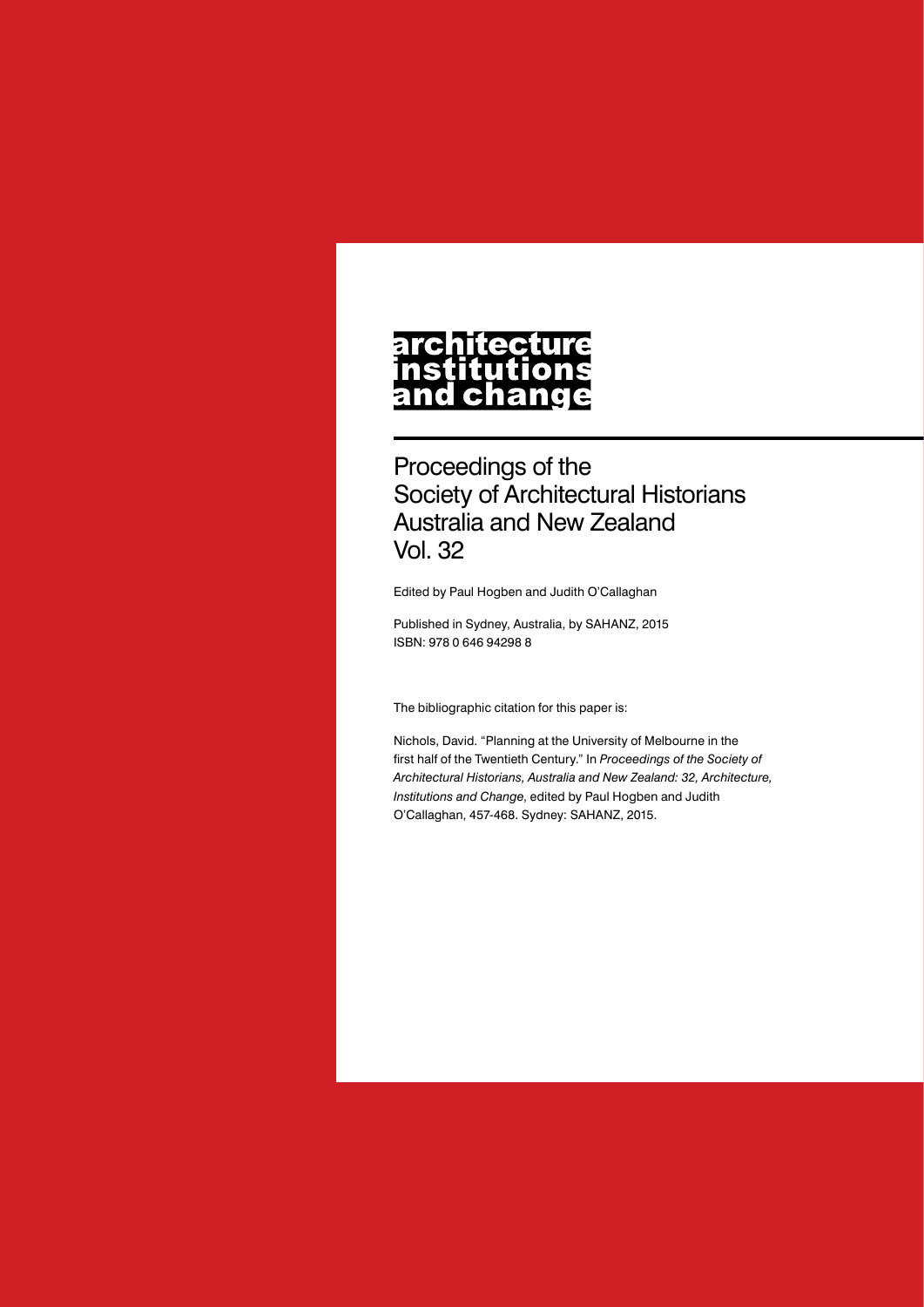#### **architecture** nstitutions **ch** nd a

Proceedings of the Society of Architectural Historians Australia and New Zealand Vol. 32

Edited by Paul Hogben and Judith O'Callaghan

Published in Sydney, Australia, by SAHANZ, 2015 ISBN: 978 0 646 94298 8

The bibliographic citation for this paper is:

Nichols, David. "Planning at the University of Melbourne in the first half of the Twentieth Century." In *Proceedings of the Society of Architectural Historians, Australia and New Zealand: 32, Architecture, Institutions and Change*, edited by Paul Hogben and Judith O'Callaghan, 457-468. Sydney: SAHANZ, 2015.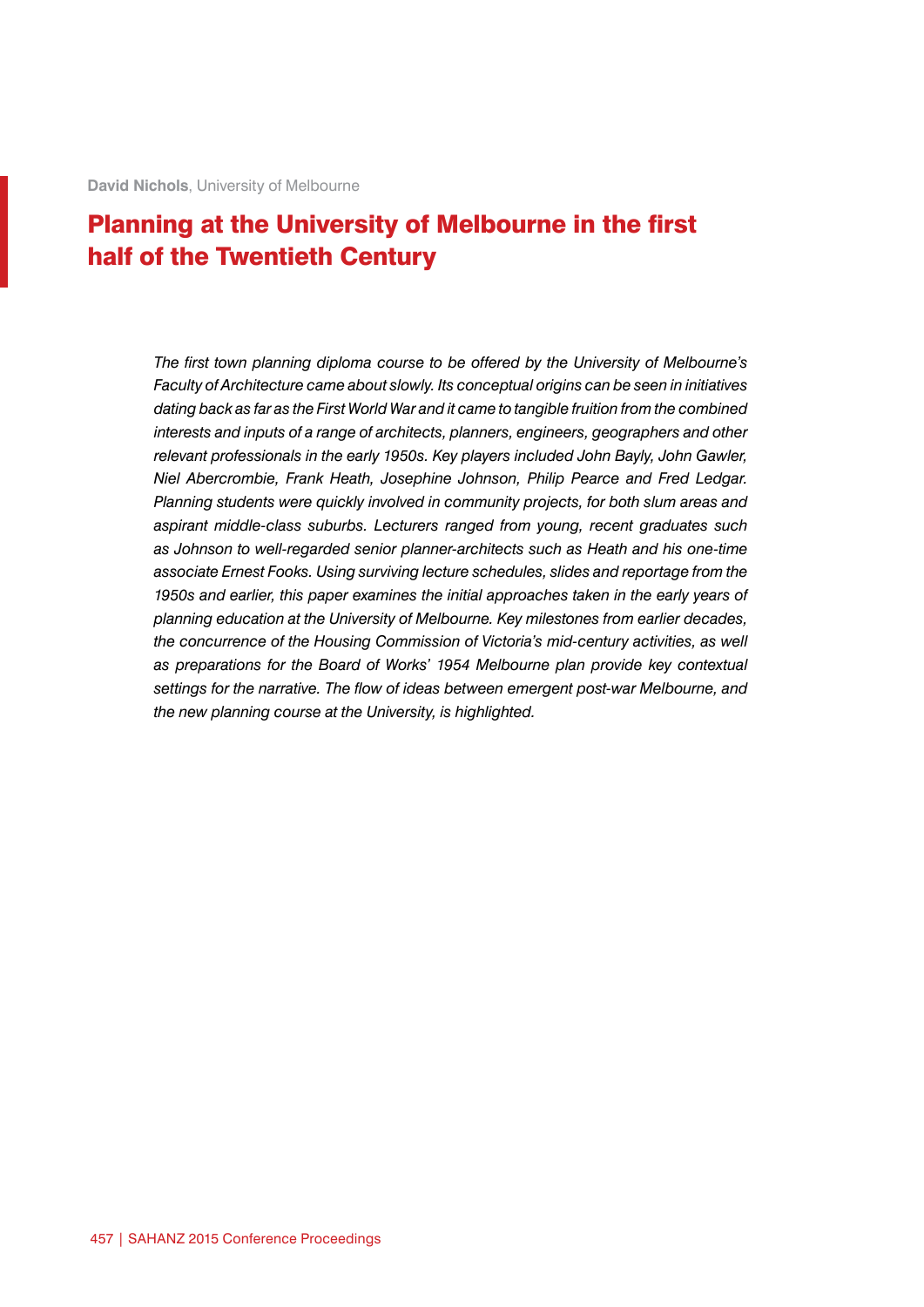# Planning at the University of Melbourne in the first half of the Twentieth Century

*The first town planning diploma course to be offered by the University of Melbourne's Faculty of Architecture came about slowly. Its conceptual origins can be seen in initiatives dating back as far as the First World War and it came to tangible fruition from the combined interests and inputs of a range of architects, planners, engineers, geographers and other relevant professionals in the early 1950s. Key players included John Bayly, John Gawler, Niel Abercrombie, Frank Heath, Josephine Johnson, Philip Pearce and Fred Ledgar. Planning students were quickly involved in community projects, for both slum areas and aspirant middle-class suburbs. Lecturers ranged from young, recent graduates such as Johnson to well-regarded senior planner-architects such as Heath and his one-time associate Ernest Fooks. Using surviving lecture schedules, slides and reportage from the 1950s and earlier, this paper examines the initial approaches taken in the early years of planning education at the University of Melbourne. Key milestones from earlier decades, the concurrence of the Housing Commission of Victoria's mid-century activities, as well as preparations for the Board of Works' 1954 Melbourne plan provide key contextual settings for the narrative. The flow of ideas between emergent post-war Melbourne, and the new planning course at the University, is highlighted.*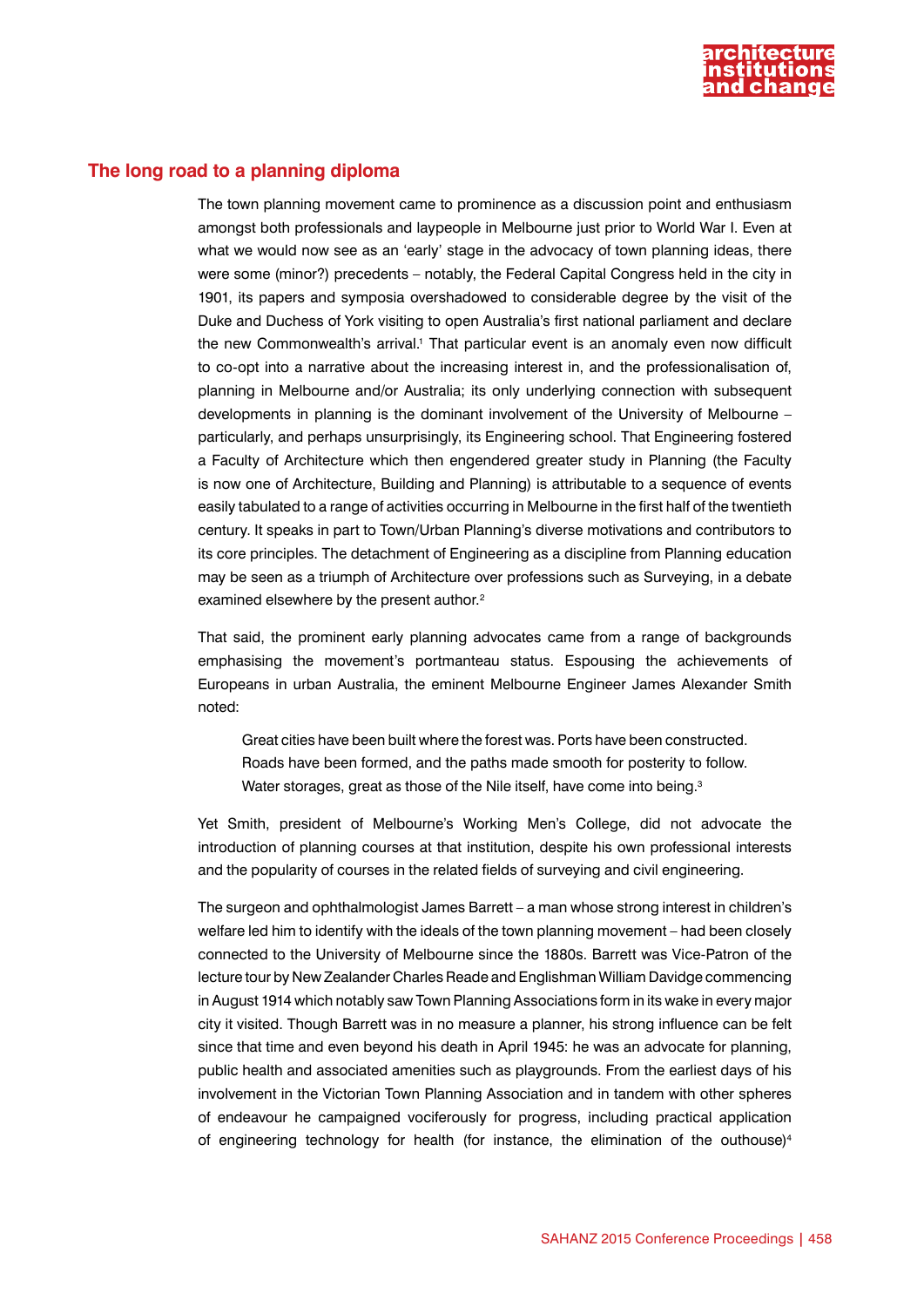

# **The long road to a planning diploma**

The town planning movement came to prominence as a discussion point and enthusiasm amongst both professionals and laypeople in Melbourne just prior to World War I. Even at what we would now see as an 'early' stage in the advocacy of town planning ideas, there were some (minor?) precedents – notably, the Federal Capital Congress held in the city in 1901, its papers and symposia overshadowed to considerable degree by the visit of the Duke and Duchess of York visiting to open Australia's first national parliament and declare the new Commonwealth's arrival.<sup>1</sup> That particular event is an anomaly even now difficult to co-opt into a narrative about the increasing interest in, and the professionalisation of, planning in Melbourne and/or Australia; its only underlying connection with subsequent developments in planning is the dominant involvement of the University of Melbourne – particularly, and perhaps unsurprisingly, its Engineering school. That Engineering fostered a Faculty of Architecture which then engendered greater study in Planning (the Faculty is now one of Architecture, Building and Planning) is attributable to a sequence of events easily tabulated to a range of activities occurring in Melbourne in the first half of the twentieth century. It speaks in part to Town/Urban Planning's diverse motivations and contributors to its core principles. The detachment of Engineering as a discipline from Planning education may be seen as a triumph of Architecture over professions such as Surveying, in a debate examined elsewhere by the present author.<sup>2</sup>

That said, the prominent early planning advocates came from a range of backgrounds emphasising the movement's portmanteau status. Espousing the achievements of Europeans in urban Australia, the eminent Melbourne Engineer James Alexander Smith noted:

Great cities have been built where the forest was. Ports have been constructed. Roads have been formed, and the paths made smooth for posterity to follow. Water storages, great as those of the Nile itself, have come into being.<sup>3</sup>

Yet Smith, president of Melbourne's Working Men's College, did not advocate the introduction of planning courses at that institution, despite his own professional interests and the popularity of courses in the related fields of surveying and civil engineering.

The surgeon and ophthalmologist James Barrett – a man whose strong interest in children's welfare led him to identify with the ideals of the town planning movement – had been closely connected to the University of Melbourne since the 1880s. Barrett was Vice-Patron of the lecture tour by New Zealander Charles Reade and Englishman William Davidge commencing in August 1914 which notably saw Town Planning Associations form in its wake in every major city it visited. Though Barrett was in no measure a planner, his strong influence can be felt since that time and even beyond his death in April 1945: he was an advocate for planning, public health and associated amenities such as playgrounds. From the earliest days of his involvement in the Victorian Town Planning Association and in tandem with other spheres of endeavour he campaigned vociferously for progress, including practical application of engineering technology for health (for instance, the elimination of the outhouse)<sup>4</sup>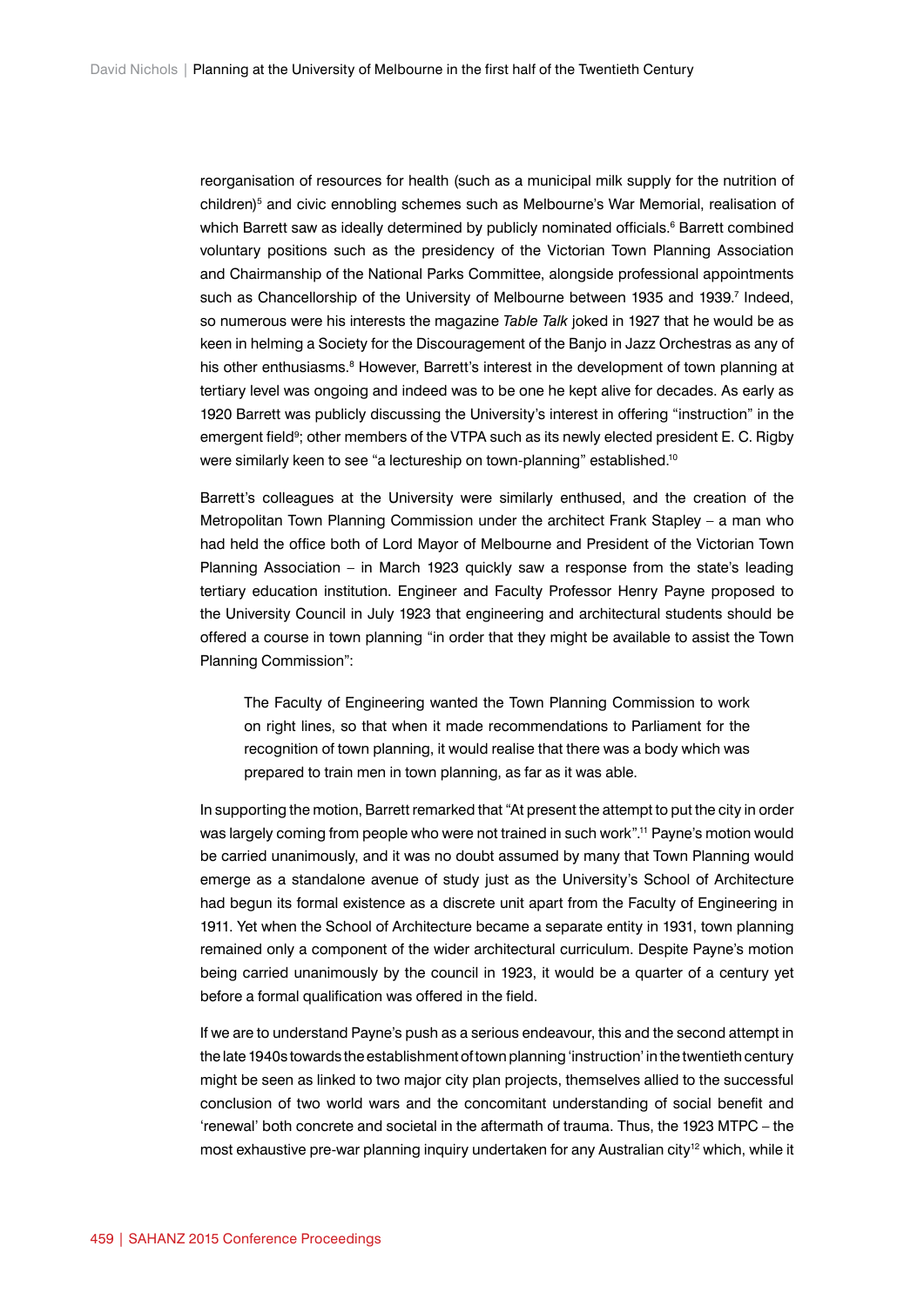reorganisation of resources for health (such as a municipal milk supply for the nutrition of children)<sup>5</sup> and civic ennobling schemes such as Melbourne's War Memorial, realisation of which Barrett saw as ideally determined by publicly nominated officials.<sup>6</sup> Barrett combined voluntary positions such as the presidency of the Victorian Town Planning Association and Chairmanship of the National Parks Committee, alongside professional appointments such as Chancellorship of the University of Melbourne between 1935 and 1939.<sup>7</sup> Indeed, so numerous were his interests the magazine *Table Talk* joked in 1927 that he would be as keen in helming a Society for the Discouragement of the Banjo in Jazz Orchestras as any of his other enthusiasms.<sup>8</sup> However, Barrett's interest in the development of town planning at tertiary level was ongoing and indeed was to be one he kept alive for decades. As early as 1920 Barrett was publicly discussing the University's interest in offering "instruction" in the emergent field<sup>9</sup>; other members of the VTPA such as its newly elected president E. C. Rigby were similarly keen to see "a lectureship on town-planning" established.<sup>10</sup>

Barrett's colleagues at the University were similarly enthused, and the creation of the Metropolitan Town Planning Commission under the architect Frank Stapley – a man who had held the office both of Lord Mayor of Melbourne and President of the Victorian Town Planning Association – in March 1923 quickly saw a response from the state's leading tertiary education institution. Engineer and Faculty Professor Henry Payne proposed to the University Council in July 1923 that engineering and architectural students should be offered a course in town planning "in order that they might be available to assist the Town Planning Commission":

The Faculty of Engineering wanted the Town Planning Commission to work on right lines, so that when it made recommendations to Parliament for the recognition of town planning, it would realise that there was a body which was prepared to train men in town planning, as far as it was able.

In supporting the motion, Barrett remarked that "At present the attempt to put the city in order was largely coming from people who were not trained in such work".11 Payne's motion would be carried unanimously, and it was no doubt assumed by many that Town Planning would emerge as a standalone avenue of study just as the University's School of Architecture had begun its formal existence as a discrete unit apart from the Faculty of Engineering in 1911. Yet when the School of Architecture became a separate entity in 1931, town planning remained only a component of the wider architectural curriculum. Despite Payne's motion being carried unanimously by the council in 1923, it would be a quarter of a century yet before a formal qualification was offered in the field.

If we are to understand Payne's push as a serious endeavour, this and the second attempt in the late 1940s towards the establishment of town planning 'instruction' in the twentieth century might be seen as linked to two major city plan projects, themselves allied to the successful conclusion of two world wars and the concomitant understanding of social benefit and 'renewal' both concrete and societal in the aftermath of trauma. Thus, the 1923 MTPC – the most exhaustive pre-war planning inquiry undertaken for any Australian city<sup>12</sup> which, while it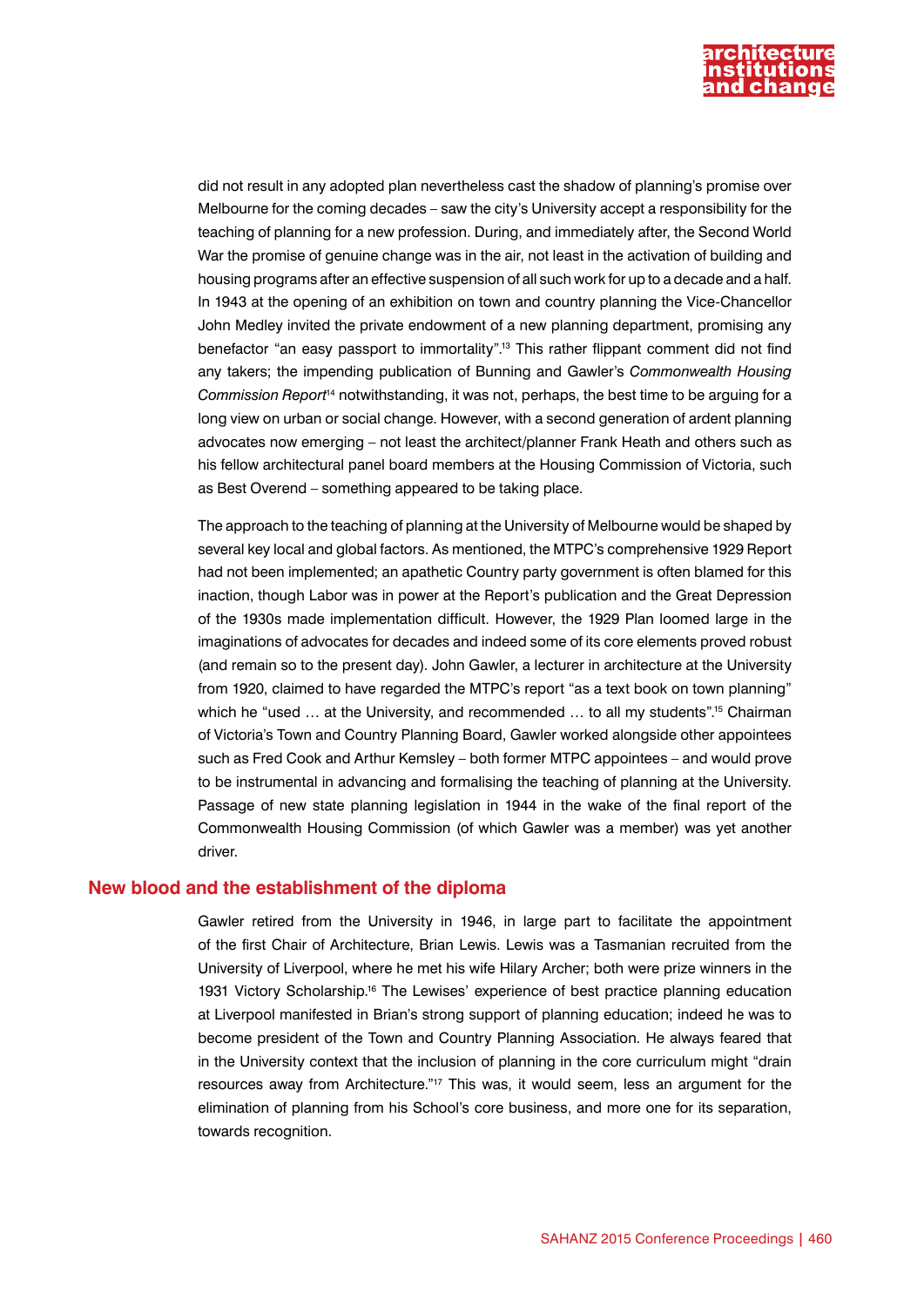

did not result in any adopted plan nevertheless cast the shadow of planning's promise over Melbourne for the coming decades – saw the city's University accept a responsibility for the teaching of planning for a new profession. During, and immediately after, the Second World War the promise of genuine change was in the air, not least in the activation of building and housing programs after an effective suspension of all such work for up to a decade and a half. In 1943 at the opening of an exhibition on town and country planning the Vice-Chancellor John Medley invited the private endowment of a new planning department, promising any benefactor "an easy passport to immortality".13 This rather flippant comment did not find any takers; the impending publication of Bunning and Gawler's *Commonwealth Housing Commission Report*14 notwithstanding, it was not, perhaps, the best time to be arguing for a long view on urban or social change. However, with a second generation of ardent planning advocates now emerging – not least the architect/planner Frank Heath and others such as his fellow architectural panel board members at the Housing Commission of Victoria, such as Best Overend – something appeared to be taking place.

The approach to the teaching of planning at the University of Melbourne would be shaped by several key local and global factors. As mentioned, the MTPC's comprehensive 1929 Report had not been implemented; an apathetic Country party government is often blamed for this inaction, though Labor was in power at the Report's publication and the Great Depression of the 1930s made implementation difficult. However, the 1929 Plan loomed large in the imaginations of advocates for decades and indeed some of its core elements proved robust (and remain so to the present day). John Gawler, a lecturer in architecture at the University from 1920, claimed to have regarded the MTPC's report "as a text book on town planning" which he "used ... at the University, and recommended ... to all my students".<sup>15</sup> Chairman of Victoria's Town and Country Planning Board, Gawler worked alongside other appointees such as Fred Cook and Arthur Kemsley – both former MTPC appointees – and would prove to be instrumental in advancing and formalising the teaching of planning at the University. Passage of new state planning legislation in 1944 in the wake of the final report of the Commonwealth Housing Commission (of which Gawler was a member) was yet another driver.

### **New blood and the establishment of the diploma**

Gawler retired from the University in 1946, in large part to facilitate the appointment of the first Chair of Architecture, Brian Lewis. Lewis was a Tasmanian recruited from the University of Liverpool, where he met his wife Hilary Archer; both were prize winners in the 1931 Victory Scholarship.16 The Lewises' experience of best practice planning education at Liverpool manifested in Brian's strong support of planning education; indeed he was to become president of the Town and Country Planning Association. He always feared that in the University context that the inclusion of planning in the core curriculum might "drain resources away from Architecture."17 This was, it would seem, less an argument for the elimination of planning from his School's core business, and more one for its separation, towards recognition.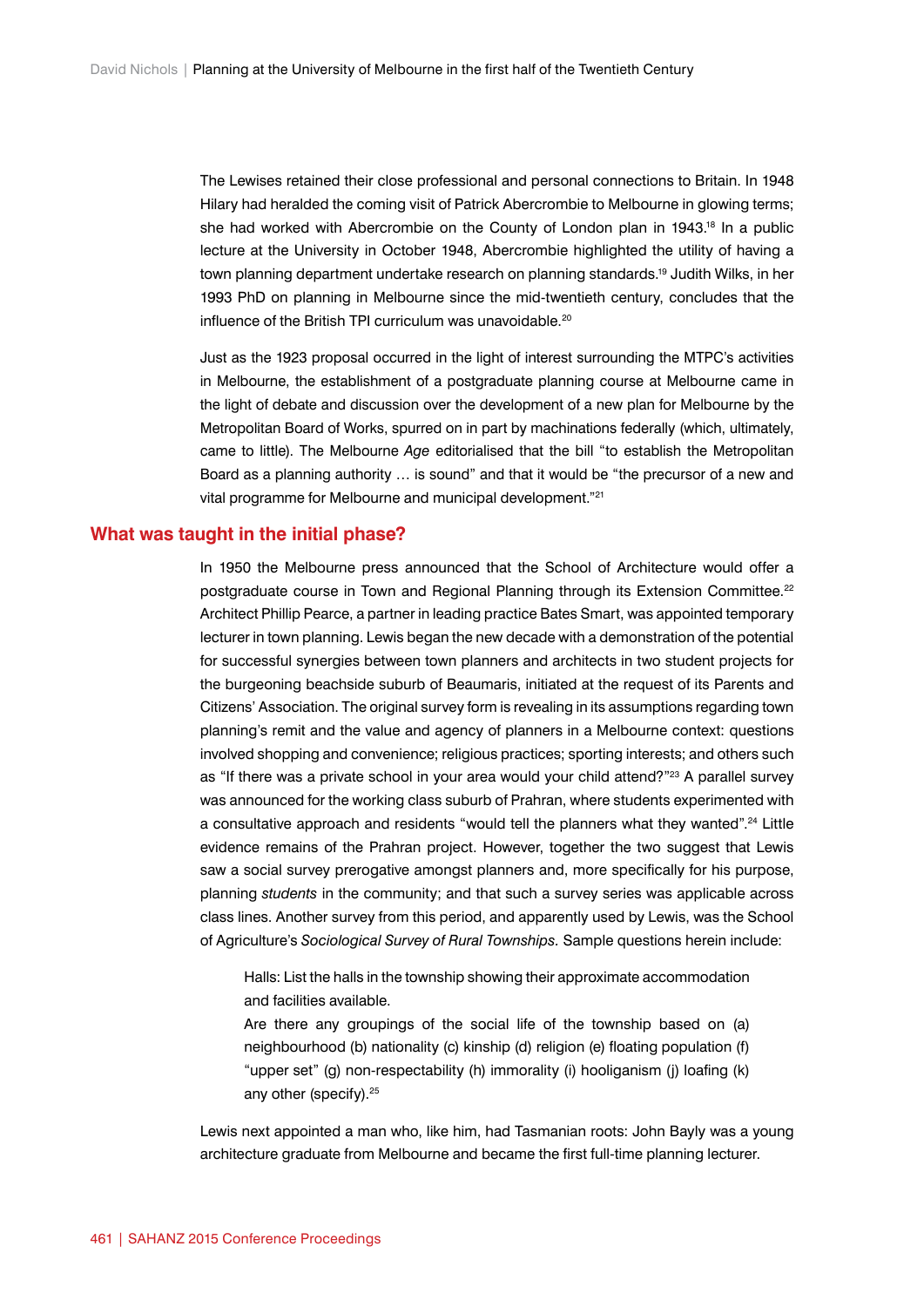The Lewises retained their close professional and personal connections to Britain. In 1948 Hilary had heralded the coming visit of Patrick Abercrombie to Melbourne in glowing terms; she had worked with Abercrombie on the County of London plan in 1943.<sup>18</sup> In a public lecture at the University in October 1948, Abercrombie highlighted the utility of having a town planning department undertake research on planning standards.19 Judith Wilks, in her 1993 PhD on planning in Melbourne since the mid-twentieth century, concludes that the influence of the British TPI curriculum was unavoidable.<sup>20</sup>

Just as the 1923 proposal occurred in the light of interest surrounding the MTPC's activities in Melbourne, the establishment of a postgraduate planning course at Melbourne came in the light of debate and discussion over the development of a new plan for Melbourne by the Metropolitan Board of Works, spurred on in part by machinations federally (which, ultimately, came to little). The Melbourne *Age* editorialised that the bill "to establish the Metropolitan Board as a planning authority … is sound" and that it would be "the precursor of a new and vital programme for Melbourne and municipal development."21

#### **What was taught in the initial phase?**

In 1950 the Melbourne press announced that the School of Architecture would offer a postgraduate course in Town and Regional Planning through its Extension Committee.<sup>22</sup> Architect Phillip Pearce, a partner in leading practice Bates Smart, was appointed temporary lecturer in town planning. Lewis began the new decade with a demonstration of the potential for successful synergies between town planners and architects in two student projects for the burgeoning beachside suburb of Beaumaris, initiated at the request of its Parents and Citizens' Association. The original survey form is revealing in its assumptions regarding town planning's remit and the value and agency of planners in a Melbourne context: questions involved shopping and convenience; religious practices; sporting interests; and others such as "If there was a private school in your area would your child attend?"<sup>23</sup> A parallel survey was announced for the working class suburb of Prahran, where students experimented with a consultative approach and residents "would tell the planners what they wanted".<sup>24</sup> Little evidence remains of the Prahran project. However, together the two suggest that Lewis saw a social survey prerogative amongst planners and, more specifically for his purpose, planning *students* in the community; and that such a survey series was applicable across class lines. Another survey from this period, and apparently used by Lewis, was the School of Agriculture's *Sociological Survey of Rural Townships.* Sample questions herein include:

Halls: List the halls in the township showing their approximate accommodation and facilities available.

Are there any groupings of the social life of the township based on (a) neighbourhood (b) nationality (c) kinship (d) religion (e) floating population (f) "upper set" (g) non-respectability (h) immorality (i) hooliganism (j) loafing (k) any other (specify).<sup>25</sup>

Lewis next appointed a man who, like him, had Tasmanian roots: John Bayly was a young architecture graduate from Melbourne and became the first full-time planning lecturer.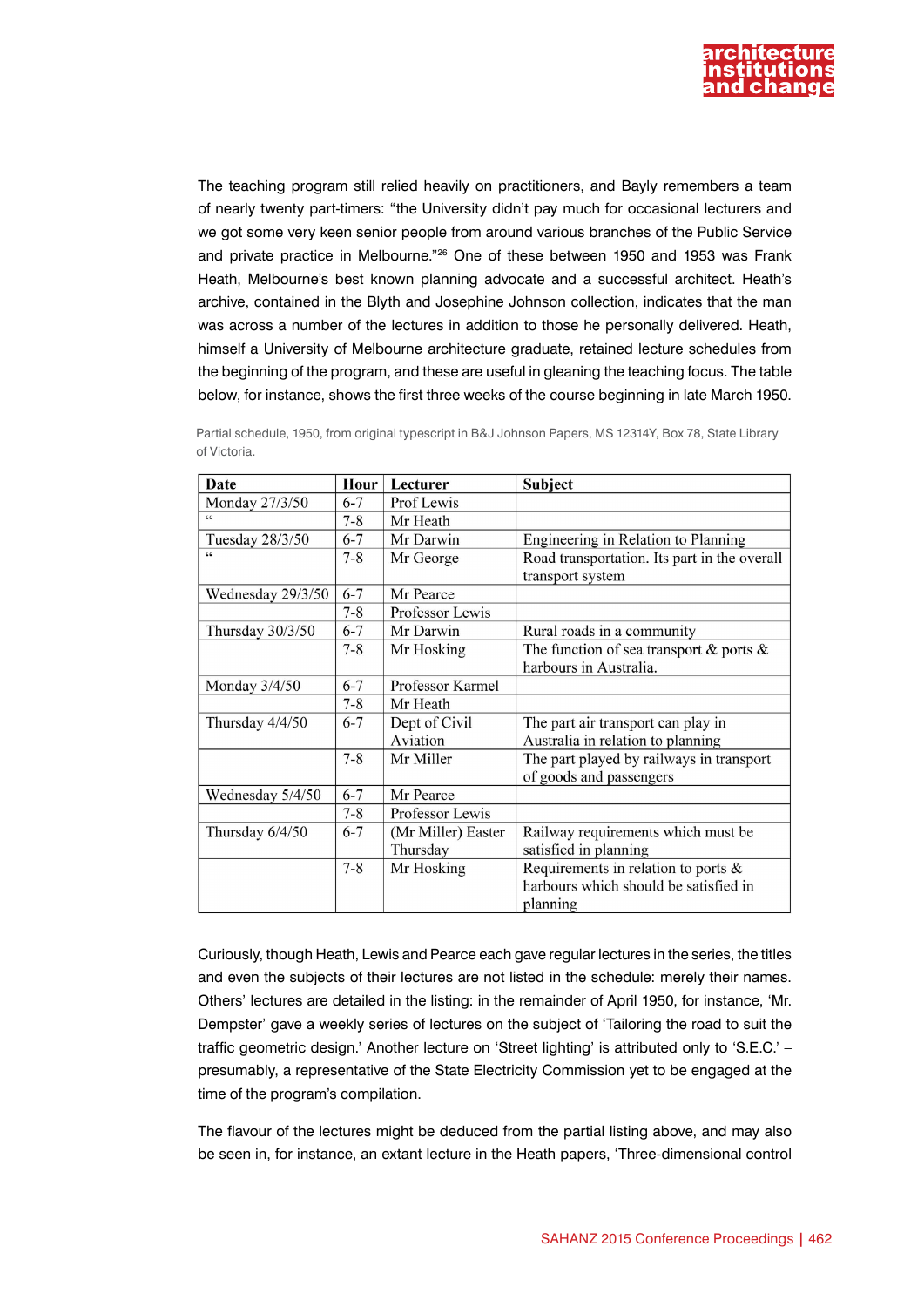

The teaching program still relied heavily on practitioners, and Bayly remembers a team of nearly twenty part-timers: "the University didn't pay much for occasional lecturers and we got some very keen senior people from around various branches of the Public Service and private practice in Melbourne."26 One of these between 1950 and 1953 was Frank Heath, Melbourne's best known planning advocate and a successful architect. Heath's archive, contained in the Blyth and Josephine Johnson collection, indicates that the man was across a number of the lectures in addition to those he personally delivered. Heath, himself a University of Melbourne architecture graduate, retained lecture schedules from the beginning of the program, and these are useful in gleaning the teaching focus. The table below, for instance, shows the first three weeks of the course beginning in late March 1950.

| Date              | Hour    | Lecturer           | Subject                                      |
|-------------------|---------|--------------------|----------------------------------------------|
| Monday 27/3/50    | $6 - 7$ | Prof Lewis         |                                              |
|                   | $7 - 8$ | Mr Heath           |                                              |
| Tuesday 28/3/50   | $6 - 7$ | Mr Darwin          | Engineering in Relation to Planning          |
|                   | $7 - 8$ | Mr George          | Road transportation. Its part in the overall |
|                   |         |                    | transport system                             |
| Wednesday 29/3/50 | $6 - 7$ | Mr Pearce          |                                              |
|                   | $7 - 8$ | Professor Lewis    |                                              |
| Thursday 30/3/50  | $6 - 7$ | Mr Darwin          | Rural roads in a community                   |
|                   | $7 - 8$ | Mr Hosking         | The function of sea transport & ports $\&$   |
|                   |         |                    | harbours in Australia.                       |
| Monday 3/4/50     | $6 - 7$ | Professor Karmel   |                                              |
|                   | $7 - 8$ | Mr Heath           |                                              |
| Thursday 4/4/50   | $6 - 7$ | Dept of Civil      | The part air transport can play in           |
|                   |         | Aviation           | Australia in relation to planning            |
|                   | $7 - 8$ | Mr Miller          | The part played by railways in transport     |
|                   |         |                    | of goods and passengers                      |
| Wednesday 5/4/50  | $6 - 7$ | Mr Pearce          |                                              |
|                   | $7 - 8$ | Professor Lewis    |                                              |
| Thursday 6/4/50   | $6 - 7$ | (Mr Miller) Easter | Railway requirements which must be           |
|                   |         | Thursday           | satisfied in planning                        |
|                   | $7 - 8$ | Mr Hosking         | Requirements in relation to ports $\&$       |
|                   |         |                    | harbours which should be satisfied in        |
|                   |         |                    | planning                                     |

Partial schedule, 1950, from original typescript in B&J Johnson Papers, MS 12314Y, Box 78, State Library of Victoria.

Curiously, though Heath, Lewis and Pearce each gave regular lectures in the series, the titles and even the subjects of their lectures are not listed in the schedule: merely their names. Others' lectures are detailed in the listing: in the remainder of April 1950, for instance, 'Mr. Dempster' gave a weekly series of lectures on the subject of 'Tailoring the road to suit the traffic geometric design.' Another lecture on 'Street lighting' is attributed only to 'S.E.C.' – presumably, a representative of the State Electricity Commission yet to be engaged at the time of the program's compilation.

The flavour of the lectures might be deduced from the partial listing above, and may also be seen in, for instance, an extant lecture in the Heath papers, 'Three-dimensional control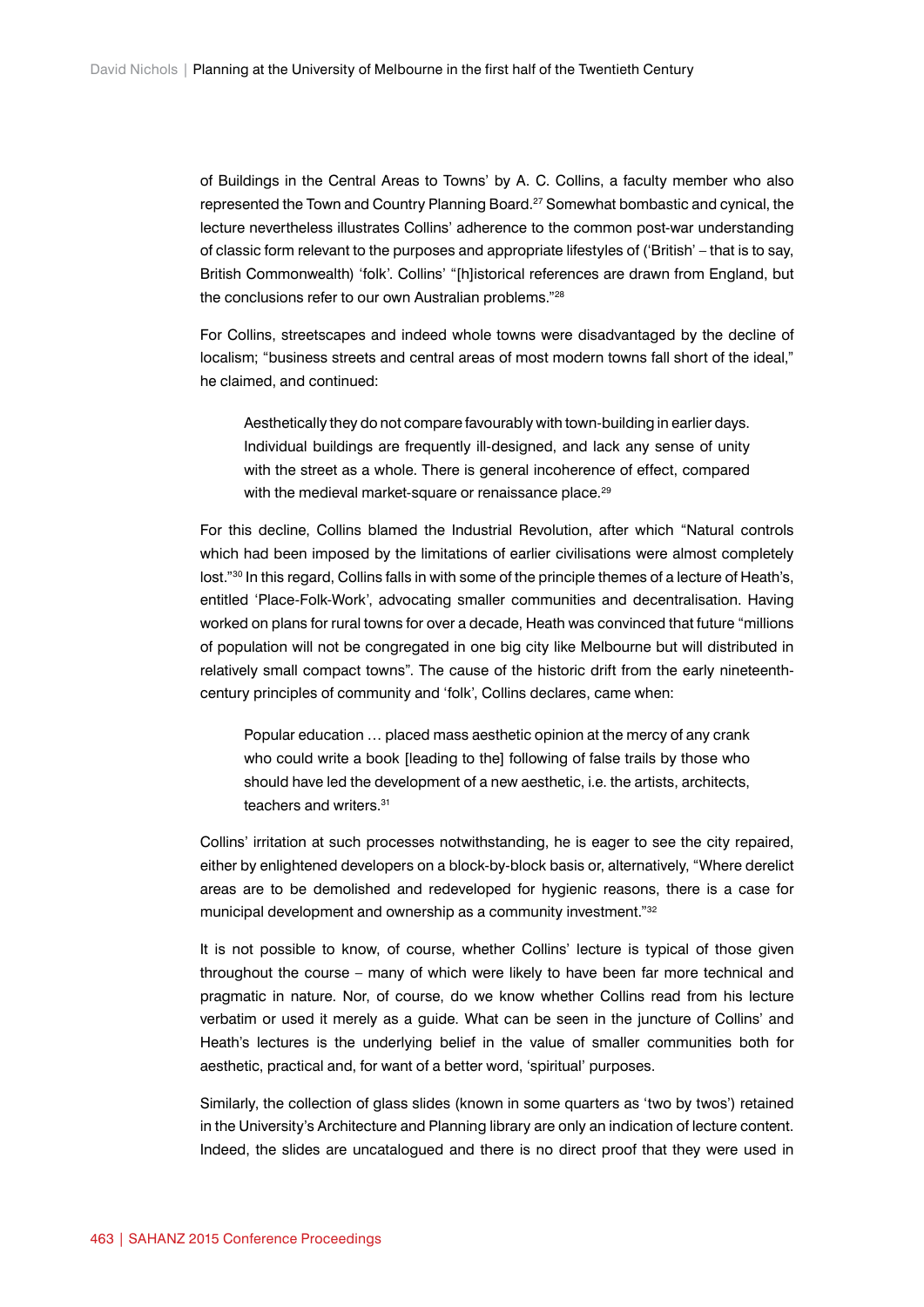of Buildings in the Central Areas to Towns' by A. C. Collins, a faculty member who also represented the Town and Country Planning Board.27 Somewhat bombastic and cynical, the lecture nevertheless illustrates Collins' adherence to the common post-war understanding of classic form relevant to the purposes and appropriate lifestyles of ('British' – that is to say, British Commonwealth) 'folk'. Collins' "[h]istorical references are drawn from England, but the conclusions refer to our own Australian problems."28

For Collins, streetscapes and indeed whole towns were disadvantaged by the decline of localism; "business streets and central areas of most modern towns fall short of the ideal," he claimed, and continued:

Aesthetically they do not compare favourably with town-building in earlier days. Individual buildings are frequently ill-designed, and lack any sense of unity with the street as a whole. There is general incoherence of effect, compared with the medieval market-square or renaissance place.<sup>29</sup>

For this decline, Collins blamed the Industrial Revolution, after which "Natural controls which had been imposed by the limitations of earlier civilisations were almost completely lost."30 In this regard, Collins falls in with some of the principle themes of a lecture of Heath's, entitled 'Place-Folk-Work', advocating smaller communities and decentralisation. Having worked on plans for rural towns for over a decade, Heath was convinced that future "millions of population will not be congregated in one big city like Melbourne but will distributed in relatively small compact towns". The cause of the historic drift from the early nineteenthcentury principles of community and 'folk', Collins declares, came when:

Popular education … placed mass aesthetic opinion at the mercy of any crank who could write a book [leading to the] following of false trails by those who should have led the development of a new aesthetic, i.e. the artists, architects, teachers and writers.<sup>31</sup>

Collins' irritation at such processes notwithstanding, he is eager to see the city repaired, either by enlightened developers on a block-by-block basis or, alternatively, "Where derelict areas are to be demolished and redeveloped for hygienic reasons, there is a case for municipal development and ownership as a community investment."32

It is not possible to know, of course, whether Collins' lecture is typical of those given throughout the course – many of which were likely to have been far more technical and pragmatic in nature. Nor, of course, do we know whether Collins read from his lecture verbatim or used it merely as a guide. What can be seen in the juncture of Collins' and Heath's lectures is the underlying belief in the value of smaller communities both for aesthetic, practical and, for want of a better word, 'spiritual' purposes.

Similarly, the collection of glass slides (known in some quarters as 'two by twos') retained in the University's Architecture and Planning library are only an indication of lecture content. Indeed, the slides are uncatalogued and there is no direct proof that they were used in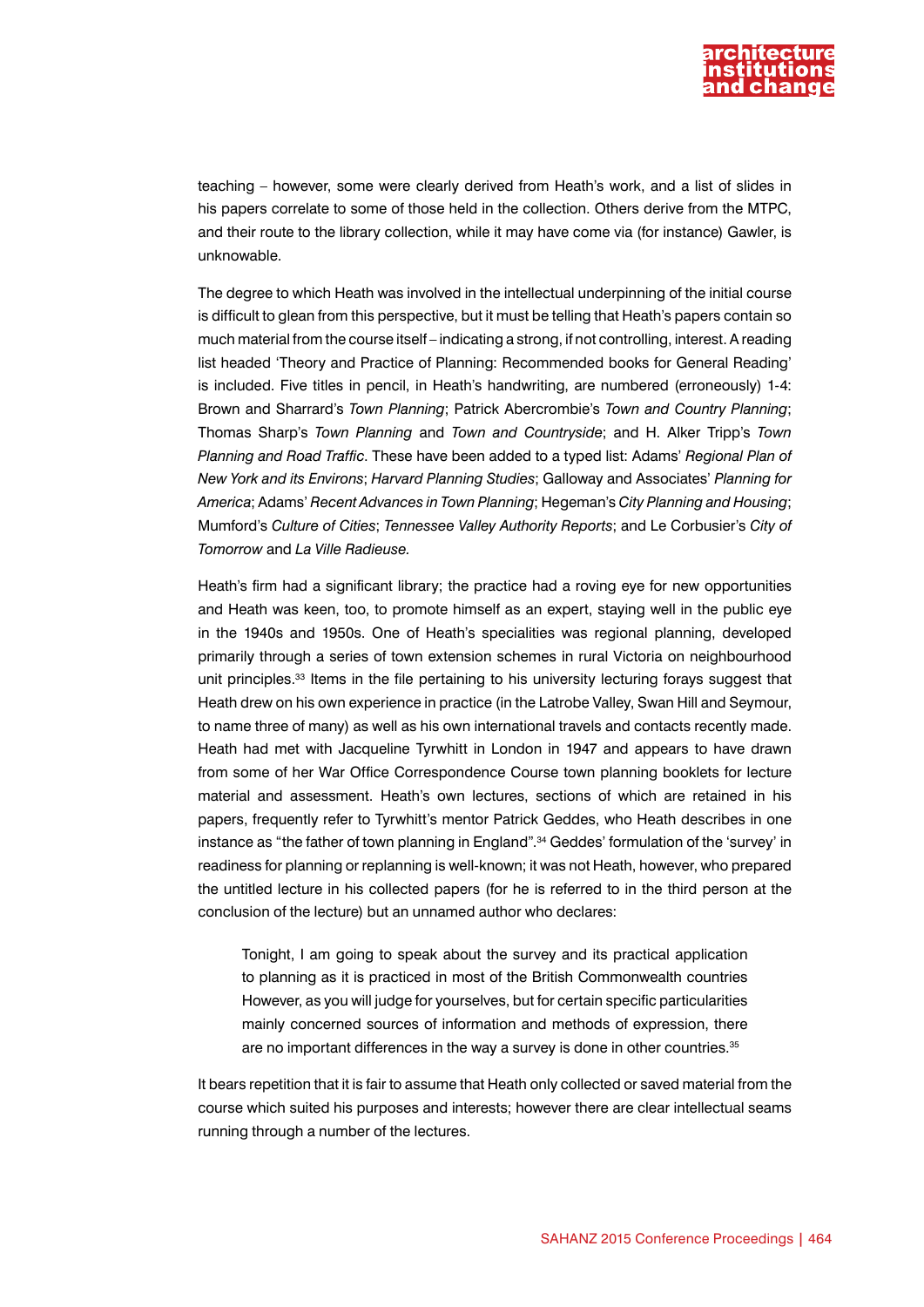

teaching – however, some were clearly derived from Heath's work, and a list of slides in his papers correlate to some of those held in the collection. Others derive from the MTPC, and their route to the library collection, while it may have come via (for instance) Gawler, is unknowable.

The degree to which Heath was involved in the intellectual underpinning of the initial course is difficult to glean from this perspective, but it must be telling that Heath's papers contain so much material from the course itself – indicating a strong, if not controlling, interest. A reading list headed 'Theory and Practice of Planning: Recommended books for General Reading' is included. Five titles in pencil, in Heath's handwriting, are numbered (erroneously) 1-4: Brown and Sharrard's *Town Planning*; Patrick Abercrombie's *Town and Country Planning*; Thomas Sharp's *Town Planning* and *Town and Countryside*; and H. Alker Tripp's *Town Planning and Road Traffic*. These have been added to a typed list: Adams' *Regional Plan of New York and its Environs*; *Harvard Planning Studies*; Galloway and Associates' *Planning for America*; Adams' *Recent Advances in Town Planning*; Hegeman's *City Planning and Housing*; Mumford's *Culture of Cities*; *Tennessee Valley Authority Reports*; and Le Corbusier's *City of Tomorrow* and *La Ville Radieuse.*

Heath's firm had a significant library; the practice had a roving eye for new opportunities and Heath was keen, too, to promote himself as an expert, staying well in the public eye in the 1940s and 1950s. One of Heath's specialities was regional planning, developed primarily through a series of town extension schemes in rural Victoria on neighbourhood unit principles.33 Items in the file pertaining to his university lecturing forays suggest that Heath drew on his own experience in practice (in the Latrobe Valley, Swan Hill and Seymour, to name three of many) as well as his own international travels and contacts recently made. Heath had met with Jacqueline Tyrwhitt in London in 1947 and appears to have drawn from some of her War Office Correspondence Course town planning booklets for lecture material and assessment. Heath's own lectures, sections of which are retained in his papers, frequently refer to Tyrwhitt's mentor Patrick Geddes, who Heath describes in one instance as "the father of town planning in England".<sup>34</sup> Geddes' formulation of the 'survey' in readiness for planning or replanning is well-known; it was not Heath, however, who prepared the untitled lecture in his collected papers (for he is referred to in the third person at the conclusion of the lecture) but an unnamed author who declares:

Tonight, I am going to speak about the survey and its practical application to planning as it is practiced in most of the British Commonwealth countries However, as you will judge for yourselves, but for certain specific particularities mainly concerned sources of information and methods of expression, there are no important differences in the way a survey is done in other countries.<sup>35</sup>

It bears repetition that it is fair to assume that Heath only collected or saved material from the course which suited his purposes and interests; however there are clear intellectual seams running through a number of the lectures.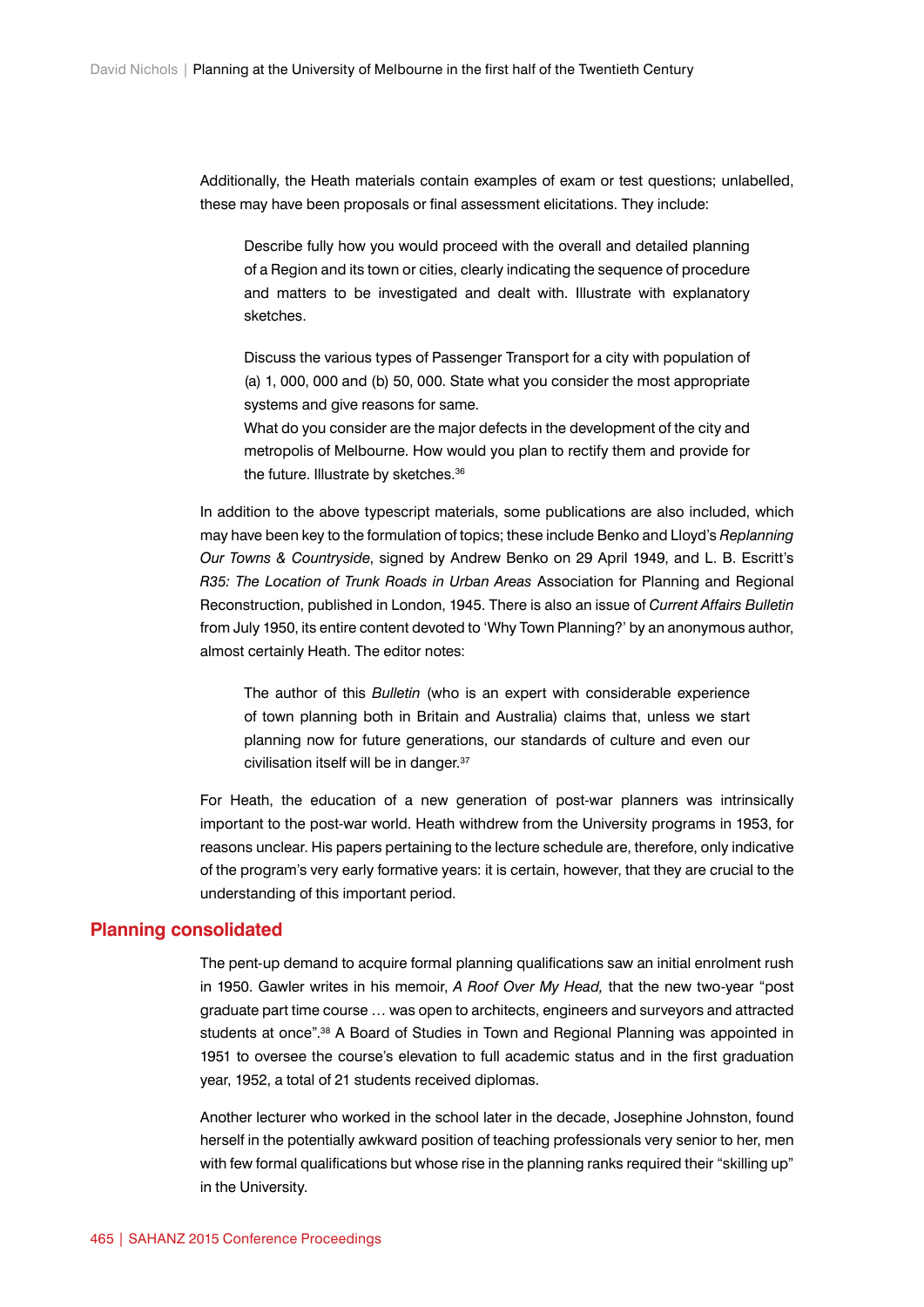Additionally, the Heath materials contain examples of exam or test questions; unlabelled, these may have been proposals or final assessment elicitations. They include:

Describe fully how you would proceed with the overall and detailed planning of a Region and its town or cities, clearly indicating the sequence of procedure and matters to be investigated and dealt with. Illustrate with explanatory sketches.

Discuss the various types of Passenger Transport for a city with population of (a) 1, 000, 000 and (b) 50, 000. State what you consider the most appropriate systems and give reasons for same.

What do you consider are the major defects in the development of the city and metropolis of Melbourne. How would you plan to rectify them and provide for the future. Illustrate by sketches.<sup>36</sup>

In addition to the above typescript materials, some publications are also included, which may have been key to the formulation of topics; these include Benko and Lloyd's *Replanning Our Towns & Countryside*, signed by Andrew Benko on 29 April 1949, and L. B. Escritt's *R35: The Location of Trunk Roads in Urban Areas* Association for Planning and Regional Reconstruction, published in London, 1945. There is also an issue of *Current Affairs Bulletin* from July 1950, its entire content devoted to 'Why Town Planning?' by an anonymous author, almost certainly Heath. The editor notes:

The author of this *Bulletin* (who is an expert with considerable experience of town planning both in Britain and Australia) claims that, unless we start planning now for future generations, our standards of culture and even our civilisation itself will be in danger.<sup>37</sup>

For Heath, the education of a new generation of post-war planners was intrinsically important to the post-war world. Heath withdrew from the University programs in 1953, for reasons unclear. His papers pertaining to the lecture schedule are, therefore, only indicative of the program's very early formative years: it is certain, however, that they are crucial to the understanding of this important period.

## **Planning consolidated**

The pent-up demand to acquire formal planning qualifications saw an initial enrolment rush in 1950. Gawler writes in his memoir, *A Roof Over My Head,* that the new two-year "post graduate part time course … was open to architects, engineers and surveyors and attracted students at once".<sup>38</sup> A Board of Studies in Town and Regional Planning was appointed in 1951 to oversee the course's elevation to full academic status and in the first graduation year, 1952, a total of 21 students received diplomas.

Another lecturer who worked in the school later in the decade, Josephine Johnston, found herself in the potentially awkward position of teaching professionals very senior to her, men with few formal qualifications but whose rise in the planning ranks required their "skilling up" in the University.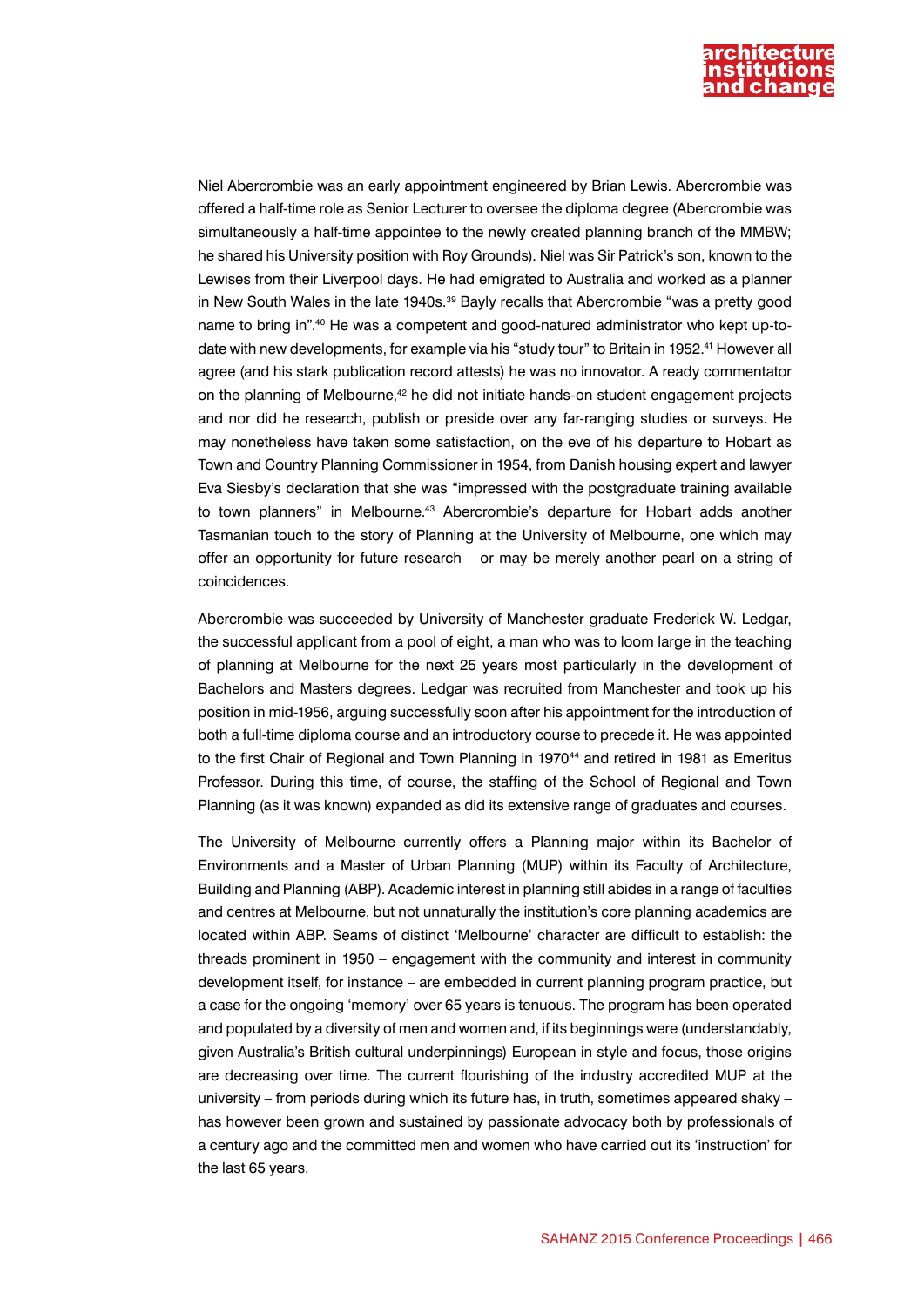

Niel Abercrombie was an early appointment engineered by Brian Lewis. Abercrombie was offered a half-time role as Senior Lecturer to oversee the diploma degree (Abercrombie was simultaneously a half-time appointee to the newly created planning branch of the MMBW; he shared his University position with Roy Grounds). Niel was Sir Patrick's son, known to the Lewises from their Liverpool days. He had emigrated to Australia and worked as a planner in New South Wales in the late 1940s.<sup>39</sup> Bayly recalls that Abercrombie "was a pretty good name to bring in".40 He was a competent and good-natured administrator who kept up-todate with new developments, for example via his "study tour" to Britain in 1952.41 However all agree (and his stark publication record attests) he was no innovator. A ready commentator on the planning of Melbourne,<sup>42</sup> he did not initiate hands-on student engagement projects and nor did he research, publish or preside over any far-ranging studies or surveys. He may nonetheless have taken some satisfaction, on the eve of his departure to Hobart as Town and Country Planning Commissioner in 1954, from Danish housing expert and lawyer Eva Siesby's declaration that she was "impressed with the postgraduate training available to town planners" in Melbourne.<sup>43</sup> Abercrombie's departure for Hobart adds another Tasmanian touch to the story of Planning at the University of Melbourne, one which may offer an opportunity for future research – or may be merely another pearl on a string of coincidences.

Abercrombie was succeeded by University of Manchester graduate Frederick W. Ledgar, the successful applicant from a pool of eight, a man who was to loom large in the teaching of planning at Melbourne for the next 25 years most particularly in the development of Bachelors and Masters degrees. Ledgar was recruited from Manchester and took up his position in mid-1956, arguing successfully soon after his appointment for the introduction of both a full-time diploma course and an introductory course to precede it. He was appointed to the first Chair of Regional and Town Planning in 1970<sup>44</sup> and retired in 1981 as Emeritus Professor. During this time, of course, the staffing of the School of Regional and Town Planning (as it was known) expanded as did its extensive range of graduates and courses.

The University of Melbourne currently offers a Planning major within its Bachelor of Environments and a Master of Urban Planning (MUP) within its Faculty of Architecture, Building and Planning (ABP). Academic interest in planning still abides in a range of faculties and centres at Melbourne, but not unnaturally the institution's core planning academics are located within ABP. Seams of distinct 'Melbourne' character are difficult to establish: the threads prominent in 1950 – engagement with the community and interest in community development itself, for instance – are embedded in current planning program practice, but a case for the ongoing 'memory' over 65 years is tenuous. The program has been operated and populated by a diversity of men and women and, if its beginnings were (understandably, given Australia's British cultural underpinnings) European in style and focus, those origins are decreasing over time. The current flourishing of the industry accredited MUP at the university – from periods during which its future has, in truth, sometimes appeared shaky – has however been grown and sustained by passionate advocacy both by professionals of a century ago and the committed men and women who have carried out its 'instruction' for the last 65 years.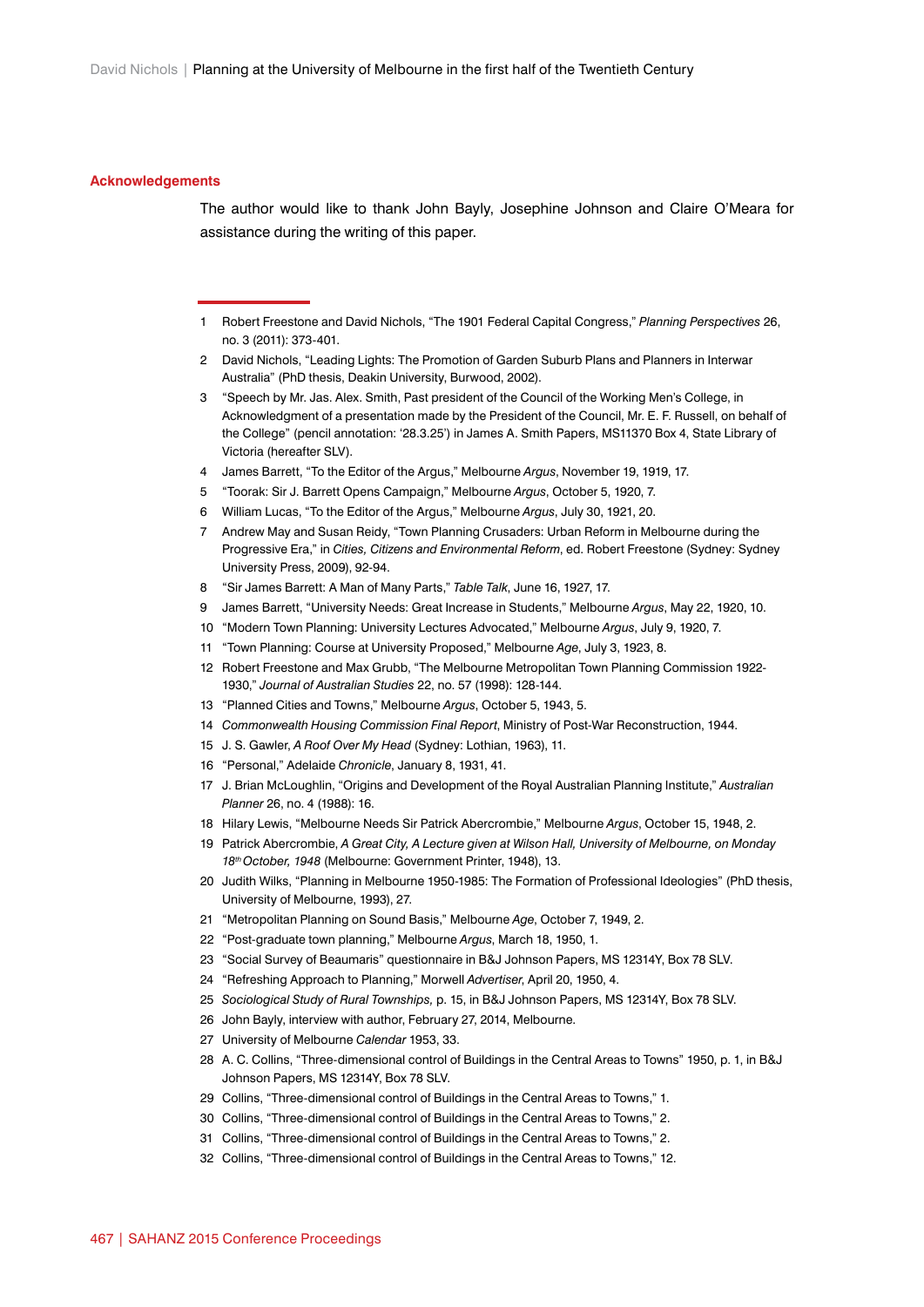#### **Acknowledgements**

The author would like to thank John Bayly, Josephine Johnson and Claire O'Meara for assistance during the writing of this paper.

- Robert Freestone and David Nichols, "The 1901 Federal Capital Congress," *Planning Perspectives* 26, no. 3 (2011): 373-401.
- David Nichols, "Leading Lights: The Promotion of Garden Suburb Plans and Planners in Interwar Australia" (PhD thesis, Deakin University, Burwood, 2002).
- "Speech by Mr. Jas. Alex. Smith, Past president of the Council of the Working Men's College, in Acknowledgment of a presentation made by the President of the Council, Mr. E. F. Russell, on behalf of the College" (pencil annotation: '28.3.25') in James A. Smith Papers, MS11370 Box 4, State Library of Victoria (hereafter SLV).
- James Barrett, "To the Editor of the Argus," Melbourne *Argus*, November 19, 1919, 17.
- "Toorak: Sir J. Barrett Opens Campaign," Melbourne *Argus*, October 5, 1920, 7.
- William Lucas, "To the Editor of the Argus," Melbourne *Argus*, July 30, 1921, 20.
- Andrew May and Susan Reidy, "Town Planning Crusaders: Urban Reform in Melbourne during the Progressive Era," in *Cities, Citizens and Environmental Reform*, ed. Robert Freestone (Sydney: Sydney University Press, 2009), 92-94.
- "Sir James Barrett: A Man of Many Parts," *Table Talk*, June 16, 1927, 17.
- James Barrett, "University Needs: Great Increase in Students," Melbourne *Argus*, May 22, 1920, 10.
- "Modern Town Planning: University Lectures Advocated," Melbourne *Argus*, July 9, 1920, 7.
- "Town Planning: Course at University Proposed," Melbourne *Age*, July 3, 1923, 8.
- Robert Freestone and Max Grubb, "The Melbourne Metropolitan Town Planning Commission 1922- 1930," *Journal of Australian Studies* 22, no. 57 (1998): 128-144.
- "Planned Cities and Towns," Melbourne *Argus*, October 5, 1943, 5.
- *Commonwealth Housing Commission Final Report*, Ministry of Post-War Reconstruction, 1944.
- J. S. Gawler, *A Roof Over My Head* (Sydney: Lothian, 1963), 11.
- "Personal," Adelaide *Chronicle*, January 8, 1931, 41.
- J. Brian McLoughlin, "Origins and Development of the Royal Australian Planning Institute," *Australian Planner* 26, no. 4 (1988): 16.
- Hilary Lewis, "Melbourne Needs Sir Patrick Abercrombie," Melbourne *Argus*, October 15, 1948, 2.
- Patrick Abercrombie, *A Great City, A Lecture given at Wilson Hall, University of Melbourne, on Monday 18th October, 1948* (Melbourne: Government Printer, 1948), 13.
- Judith Wilks, "Planning in Melbourne 1950-1985: The Formation of Professional Ideologies" (PhD thesis, University of Melbourne, 1993), 27.
- "Metropolitan Planning on Sound Basis," Melbourne *Age*, October 7, 1949, 2.
- "Post-graduate town planning," Melbourne *Argus*, March 18, 1950, 1.
- "Social Survey of Beaumaris" questionnaire in B&J Johnson Papers, MS 12314Y, Box 78 SLV.
- "Refreshing Approach to Planning," Morwell *Advertiser*, April 20, 1950, 4.
- *Sociological Study of Rural Townships,* p. 15, in B&J Johnson Papers, MS 12314Y, Box 78 SLV.
- John Bayly, interview with author, February 27, 2014, Melbourne.
- University of Melbourne *Calendar* 1953, 33.
- A. C. Collins, "Three-dimensional control of Buildings in the Central Areas to Towns" 1950, p. 1, in B&J Johnson Papers, MS 12314Y, Box 78 SLV.
- Collins, "Three-dimensional control of Buildings in the Central Areas to Towns," 1.
- Collins, "Three-dimensional control of Buildings in the Central Areas to Towns," 2.
- Collins, "Three-dimensional control of Buildings in the Central Areas to Towns," 2.
- Collins, "Three-dimensional control of Buildings in the Central Areas to Towns," 12.